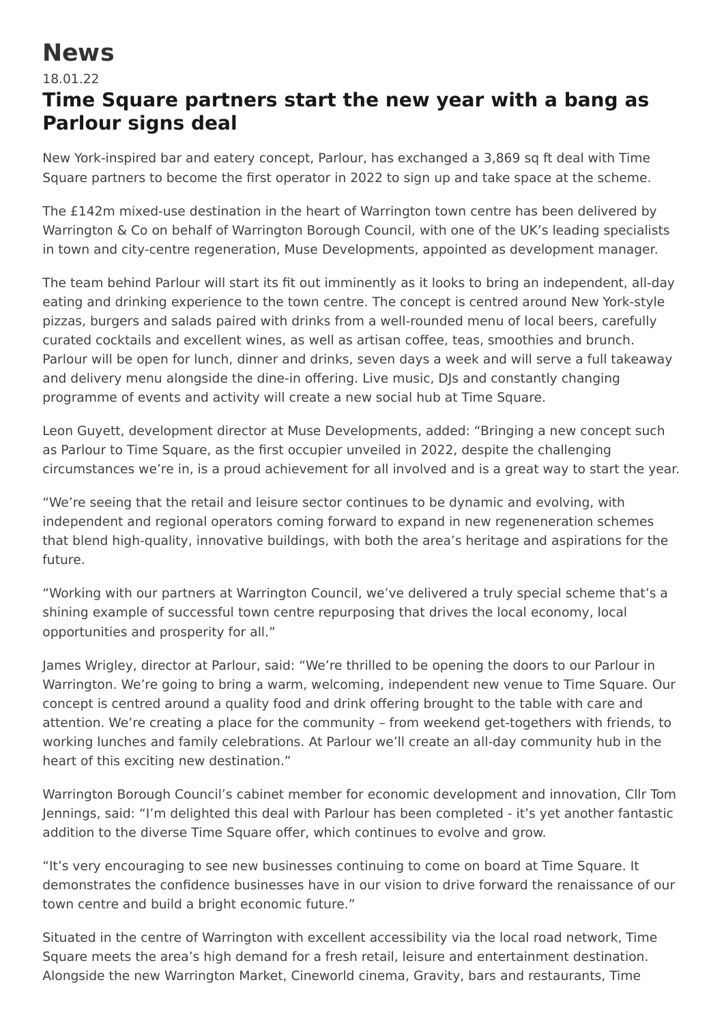## **News**

## 18.01.22

## **Time Square partners start the new year with a bang as Parlour signs deal**

New York-inspired bar and eatery concept, Parlour, has exchanged a 3,869 sq ft deal with Time Square partners to become the first operator in 2022 to sign up and take space at the scheme.

The £142m mixed-use destination in the heart of Warrington town centre has been delivered by Warrington & Co on behalf of Warrington Borough Council, with one of the UK's leading specialists in town and city-centre regeneration, Muse Developments, appointed as development manager.

The team behind Parlour will start its fit out imminently as it looks to bring an independent, all-day eating and drinking experience to the town centre. The concept is centred around New York-style pizzas, burgers and salads paired with drinks from a well-rounded menu of local beers, carefully curated cocktails and excellent wines, as well as artisan coffee, teas, smoothies and brunch. Parlour will be open for lunch, dinner and drinks, seven days a week and will serve a full takeaway and delivery menu alongside the dine-in offering. Live music, DJs and constantly changing programme of events and activity will create a new social hub at Time Square.

Leon Guyett, development director at Muse Developments, added: "Bringing a new concept such as Parlour to Time Square, as the first occupier unveiled in 2022, despite the challenging circumstances we're in, is a proud achievement for all involved and is a great way to start the year.

"We're seeing that the retail and leisure sector continues to be dynamic and evolving, with independent and regional operators coming forward to expand in new regeneneration schemes that blend high-quality, innovative buildings, with both the area's heritage and aspirations for the future.

"Working with our partners at Warrington Council, we've delivered a truly special scheme that's a shining example of successful town centre repurposing that drives the local economy, local opportunities and prosperity for all."

James Wrigley, director at Parlour, said: "We're thrilled to be opening the doors to our Parlour in Warrington. We're going to bring a warm, welcoming, independent new venue to Time Square. Our concept is centred around a quality food and drink offering brought to the table with care and attention. We're creating a place for the community – from weekend get-togethers with friends, to working lunches and family celebrations. At Parlour we'll create an all-day community hub in the heart of this exciting new destination."

Warrington Borough Council's cabinet member for economic development and innovation, Cllr Tom Jennings, said: "I'm delighted this deal with Parlour has been completed - it's yet another fantastic addition to the diverse Time Square offer, which continues to evolve and grow.

"It's very encouraging to see new businesses continuing to come on board at Time Square. It demonstrates the confidence businesses have in our vision to drive forward the renaissance of our town centre and build a bright economic future."

Situated in the centre of Warrington with excellent accessibility via the local road network, Time Square meets the area's high demand for a fresh retail, leisure and entertainment destination. Alongside the new Warrington Market, Cineworld cinema, Gravity, bars and restaurants, Time